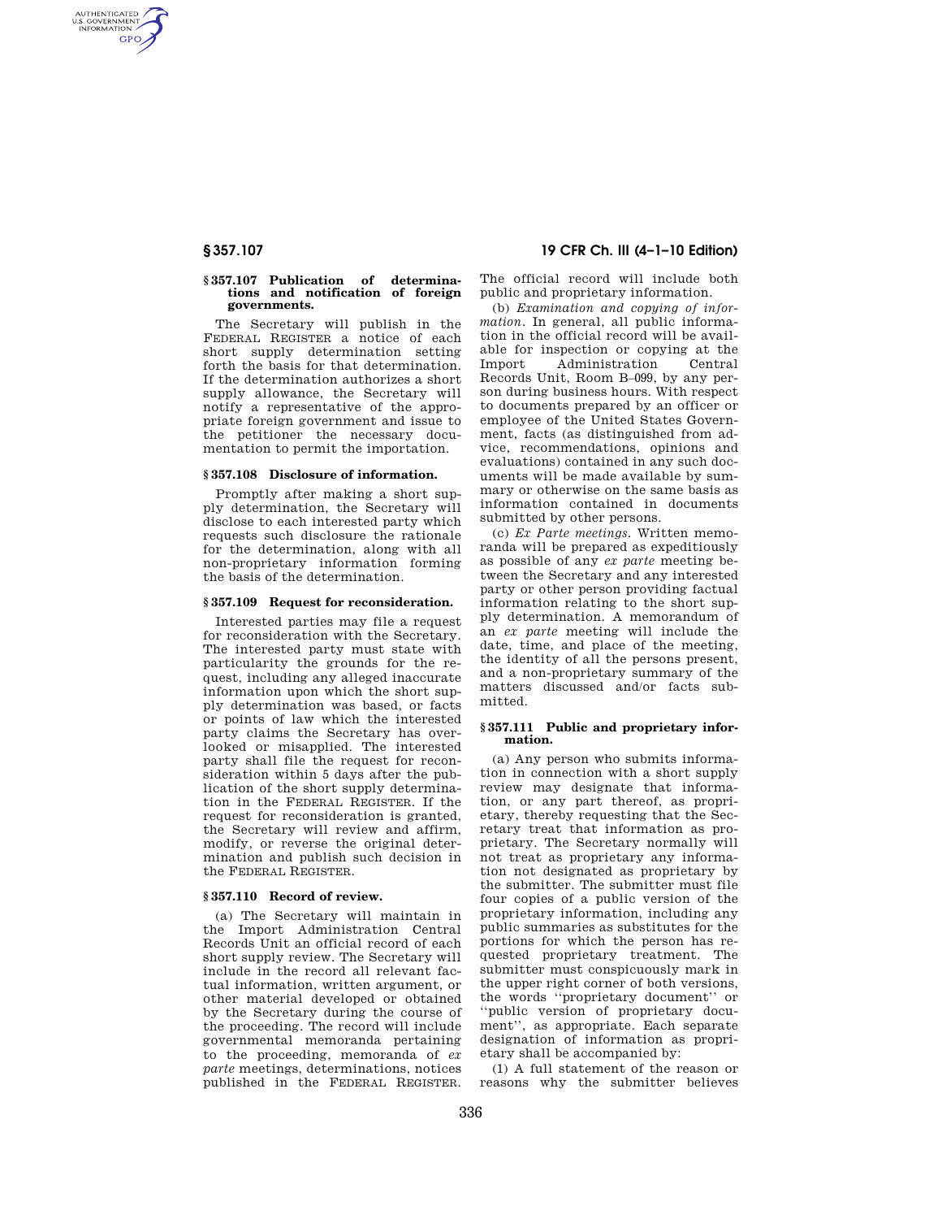AUTHENTICATED<br>U.S. GOVERNMENT<br>INFORMATION **GPO** 

### **§ 357.107 Publication of determinations and notification of foreign governments.**

The Secretary will publish in the FEDERAL REGISTER a notice of each short supply determination setting forth the basis for that determination. If the determination authorizes a short supply allowance, the Secretary will notify a representative of the appropriate foreign government and issue to the petitioner the necessary documentation to permit the importation.

# **§ 357.108 Disclosure of information.**

Promptly after making a short supply determination, the Secretary will disclose to each interested party which requests such disclosure the rationale for the determination, along with all non-proprietary information forming the basis of the determination.

### **§ 357.109 Request for reconsideration.**

Interested parties may file a request for reconsideration with the Secretary. The interested party must state with particularity the grounds for the request, including any alleged inaccurate information upon which the short supply determination was based, or facts or points of law which the interested party claims the Secretary has overlooked or misapplied. The interested party shall file the request for reconsideration within 5 days after the publication of the short supply determination in the FEDERAL REGISTER. If the request for reconsideration is granted, the Secretary will review and affirm, modify, or reverse the original determination and publish such decision in the FEDERAL REGISTER.

## **§ 357.110 Record of review.**

(a) The Secretary will maintain in the Import Administration Central Records Unit an official record of each short supply review. The Secretary will include in the record all relevant factual information, written argument, or other material developed or obtained by the Secretary during the course of the proceeding. The record will include governmental memoranda pertaining to the proceeding, memoranda of *ex parte* meetings, determinations, notices published in the FEDERAL REGISTER.

# **§ 357.107 19 CFR Ch. III (4–1–10 Edition)**

The official record will include both public and proprietary information.

(b) *Examination and copying of information.* In general, all public information in the official record will be available for inspection or copying at the Import Administration Central Records Unit, Room B–099, by any person during business hours. With respect to documents prepared by an officer or employee of the United States Government, facts (as distinguished from advice, recommendations, opinions and evaluations) contained in any such documents will be made available by summary or otherwise on the same basis as information contained in documents submitted by other persons.

(c) *Ex Parte meetings.* Written memoranda will be prepared as expeditiously as possible of any *ex parte* meeting between the Secretary and any interested party or other person providing factual information relating to the short supply determination. A memorandum of an *ex parte* meeting will include the date, time, and place of the meeting, the identity of all the persons present, and a non-proprietary summary of the matters discussed and/or facts submitted.

### **§ 357.111 Public and proprietary information.**

(a) Any person who submits information in connection with a short supply review may designate that information, or any part thereof, as proprietary, thereby requesting that the Secretary treat that information as proprietary. The Secretary normally will not treat as proprietary any information not designated as proprietary by the submitter. The submitter must file four copies of a public version of the proprietary information, including any public summaries as substitutes for the portions for which the person has requested proprietary treatment. The submitter must conspicuously mark in the upper right corner of both versions, the words ''proprietary document'' or ''public version of proprietary document'', as appropriate. Each separate designation of information as proprietary shall be accompanied by:

(1) A full statement of the reason or reasons why the submitter believes